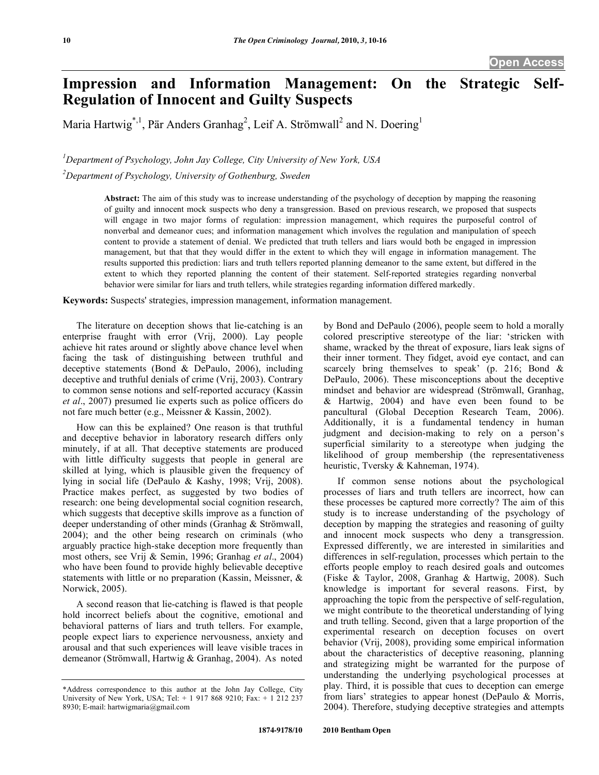# **Impression and Information Management: On the Strategic Self-Regulation of Innocent and Guilty Suspects**

Maria Hartwig<sup>\*, 1</sup>, Pär Anders Granhag<sup>2</sup>, Leif A. Strömwall<sup>2</sup> and N. Doering<sup>1</sup>

*1 Department of Psychology, John Jay College, City University of New York, USA* 

*2 Department of Psychology, University of Gothenburg, Sweden* 

**Abstract:** The aim of this study was to increase understanding of the psychology of deception by mapping the reasoning of guilty and innocent mock suspects who deny a transgression. Based on previous research, we proposed that suspects will engage in two major forms of regulation: impression management, which requires the purposeful control of nonverbal and demeanor cues; and information management which involves the regulation and manipulation of speech content to provide a statement of denial. We predicted that truth tellers and liars would both be engaged in impression management, but that that they would differ in the extent to which they will engage in information management. The results supported this prediction: liars and truth tellers reported planning demeanor to the same extent, but differed in the extent to which they reported planning the content of their statement. Self-reported strategies regarding nonverbal behavior were similar for liars and truth tellers, while strategies regarding information differed markedly.

**Keywords:** Suspects' strategies, impression management, information management.

 The literature on deception shows that lie-catching is an enterprise fraught with error (Vrij, 2000). Lay people achieve hit rates around or slightly above chance level when facing the task of distinguishing between truthful and deceptive statements (Bond & DePaulo, 2006), including deceptive and truthful denials of crime (Vrij, 2003). Contrary to common sense notions and self-reported accuracy (Kassin *et al*., 2007) presumed lie experts such as police officers do not fare much better (e.g., Meissner & Kassin, 2002).

 How can this be explained? One reason is that truthful and deceptive behavior in laboratory research differs only minutely, if at all. That deceptive statements are produced with little difficulty suggests that people in general are skilled at lying, which is plausible given the frequency of lying in social life (DePaulo & Kashy, 1998; Vrij, 2008). Practice makes perfect, as suggested by two bodies of research: one being developmental social cognition research, which suggests that deceptive skills improve as a function of deeper understanding of other minds (Granhag & Strömwall, 2004); and the other being research on criminals (who arguably practice high-stake deception more frequently than most others, see Vrij & Semin, 1996; Granhag *et al*., 2004) who have been found to provide highly believable deceptive statements with little or no preparation (Kassin, Meissner, & Norwick, 2005).

 A second reason that lie-catching is flawed is that people hold incorrect beliefs about the cognitive, emotional and behavioral patterns of liars and truth tellers. For example, people expect liars to experience nervousness, anxiety and arousal and that such experiences will leave visible traces in demeanor (Strömwall, Hartwig & Granhag, 2004). As noted

by Bond and DePaulo (2006), people seem to hold a morally colored prescriptive stereotype of the liar: 'stricken with shame, wracked by the threat of exposure, liars leak signs of their inner torment. They fidget, avoid eye contact, and can scarcely bring themselves to speak' (p. 216; Bond & DePaulo, 2006). These misconceptions about the deceptive mindset and behavior are widespread (Strömwall, Granhag, & Hartwig, 2004) and have even been found to be pancultural (Global Deception Research Team, 2006). Additionally, it is a fundamental tendency in human judgment and decision-making to rely on a person's superficial similarity to a stereotype when judging the likelihood of group membership (the representativeness heuristic, Tversky & Kahneman, 1974).

 If common sense notions about the psychological processes of liars and truth tellers are incorrect, how can these processes be captured more correctly? The aim of this study is to increase understanding of the psychology of deception by mapping the strategies and reasoning of guilty and innocent mock suspects who deny a transgression. Expressed differently, we are interested in similarities and differences in self-regulation, processes which pertain to the efforts people employ to reach desired goals and outcomes (Fiske & Taylor, 2008, Granhag & Hartwig, 2008). Such knowledge is important for several reasons. First, by approaching the topic from the perspective of self-regulation, we might contribute to the theoretical understanding of lying and truth telling. Second, given that a large proportion of the experimental research on deception focuses on overt behavior (Vrij, 2008), providing some empirical information about the characteristics of deceptive reasoning, planning and strategizing might be warranted for the purpose of understanding the underlying psychological processes at play. Third, it is possible that cues to deception can emerge from liars' strategies to appear honest (DePaulo & Morris, 2004). Therefore, studying deceptive strategies and attempts

<sup>\*</sup>Address correspondence to this author at the John Jay College, City University of New York, USA; Tel: + 1 917 868 9210; Fax: + 1 212 237 8930; E-mail: hartwigmaria@gmail.com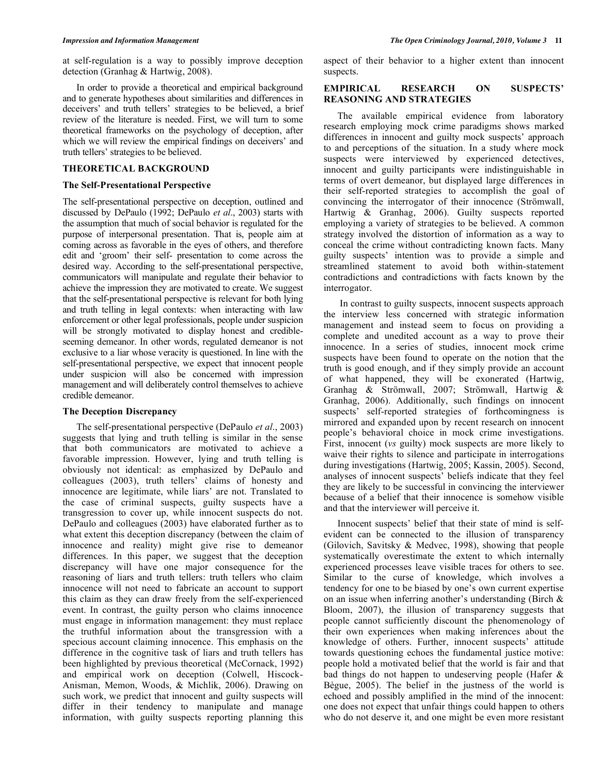at self-regulation is a way to possibly improve deception detection (Granhag & Hartwig, 2008).

 In order to provide a theoretical and empirical background and to generate hypotheses about similarities and differences in deceivers' and truth tellers' strategies to be believed, a brief review of the literature is needed. First, we will turn to some theoretical frameworks on the psychology of deception, after which we will review the empirical findings on deceivers' and truth tellers' strategies to be believed.

# **THEORETICAL BACKGROUND**

# **The Self-Presentational Perspective**

The self-presentational perspective on deception, outlined and discussed by DePaulo (1992; DePaulo *et al*., 2003) starts with the assumption that much of social behavior is regulated for the purpose of interpersonal presentation. That is, people aim at coming across as favorable in the eyes of others, and therefore edit and 'groom' their self- presentation to come across the desired way. According to the self-presentational perspective, communicators will manipulate and regulate their behavior to achieve the impression they are motivated to create. We suggest that the self-presentational perspective is relevant for both lying and truth telling in legal contexts: when interacting with law enforcement or other legal professionals, people under suspicion will be strongly motivated to display honest and credibleseeming demeanor. In other words, regulated demeanor is not exclusive to a liar whose veracity is questioned. In line with the self-presentational perspective, we expect that innocent people under suspicion will also be concerned with impression management and will deliberately control themselves to achieve credible demeanor.

# **The Deception Discrepancy**

 The self-presentational perspective (DePaulo *et al*., 2003) suggests that lying and truth telling is similar in the sense that both communicators are motivated to achieve a favorable impression. However, lying and truth telling is obviously not identical: as emphasized by DePaulo and colleagues (2003), truth tellers' claims of honesty and innocence are legitimate, while liars' are not. Translated to the case of criminal suspects, guilty suspects have a transgression to cover up, while innocent suspects do not. DePaulo and colleagues (2003) have elaborated further as to what extent this deception discrepancy (between the claim of innocence and reality) might give rise to demeanor differences. In this paper, we suggest that the deception discrepancy will have one major consequence for the reasoning of liars and truth tellers: truth tellers who claim innocence will not need to fabricate an account to support this claim as they can draw freely from the self-experienced event. In contrast, the guilty person who claims innocence must engage in information management: they must replace the truthful information about the transgression with a specious account claiming innocence. This emphasis on the difference in the cognitive task of liars and truth tellers has been highlighted by previous theoretical (McCornack, 1992) and empirical work on deception (Colwell, Hiscock-Anisman, Memon, Woods, & Michlik, 2006). Drawing on such work, we predict that innocent and guilty suspects will differ in their tendency to manipulate and manage information, with guilty suspects reporting planning this aspect of their behavior to a higher extent than innocent suspects.

# **EMPIRICAL RESEARCH ON SUSPECTS' REASONING AND STRATEGIES**

 The available empirical evidence from laboratory research employing mock crime paradigms shows marked differences in innocent and guilty mock suspects' approach to and perceptions of the situation. In a study where mock suspects were interviewed by experienced detectives, innocent and guilty participants were indistinguishable in terms of overt demeanor, but displayed large differences in their self-reported strategies to accomplish the goal of convincing the interrogator of their innocence (Strömwall, Hartwig & Granhag, 2006). Guilty suspects reported employing a variety of strategies to be believed. A common strategy involved the distortion of information as a way to conceal the crime without contradicting known facts. Many guilty suspects' intention was to provide a simple and streamlined statement to avoid both within-statement contradictions and contradictions with facts known by the interrogator.

 In contrast to guilty suspects, innocent suspects approach the interview less concerned with strategic information management and instead seem to focus on providing a complete and unedited account as a way to prove their innocence. In a series of studies, innocent mock crime suspects have been found to operate on the notion that the truth is good enough, and if they simply provide an account of what happened, they will be exonerated (Hartwig, Granhag & Strömwall, 2007; Strömwall, Hartwig & Granhag, 2006). Additionally, such findings on innocent suspects' self-reported strategies of forthcomingness is mirrored and expanded upon by recent research on innocent people's behavioral choice in mock crime investigations. First, innocent (*vs* guilty) mock suspects are more likely to waive their rights to silence and participate in interrogations during investigations (Hartwig, 2005; Kassin, 2005). Second, analyses of innocent suspects' beliefs indicate that they feel they are likely to be successful in convincing the interviewer because of a belief that their innocence is somehow visible and that the interviewer will perceive it.

 Innocent suspects' belief that their state of mind is selfevident can be connected to the illusion of transparency (Gilovich, Savitsky & Medvec, 1998), showing that people systematically overestimate the extent to which internally experienced processes leave visible traces for others to see. Similar to the curse of knowledge, which involves a tendency for one to be biased by one's own current expertise on an issue when inferring another's understanding (Birch & Bloom, 2007), the illusion of transparency suggests that people cannot sufficiently discount the phenomenology of their own experiences when making inferences about the knowledge of others. Further, innocent suspects' attitude towards questioning echoes the fundamental justice motive: people hold a motivated belief that the world is fair and that bad things do not happen to undeserving people (Hafer & Bègue, 2005). The belief in the justness of the world is echoed and possibly amplified in the mind of the innocent: one does not expect that unfair things could happen to others who do not deserve it, and one might be even more resistant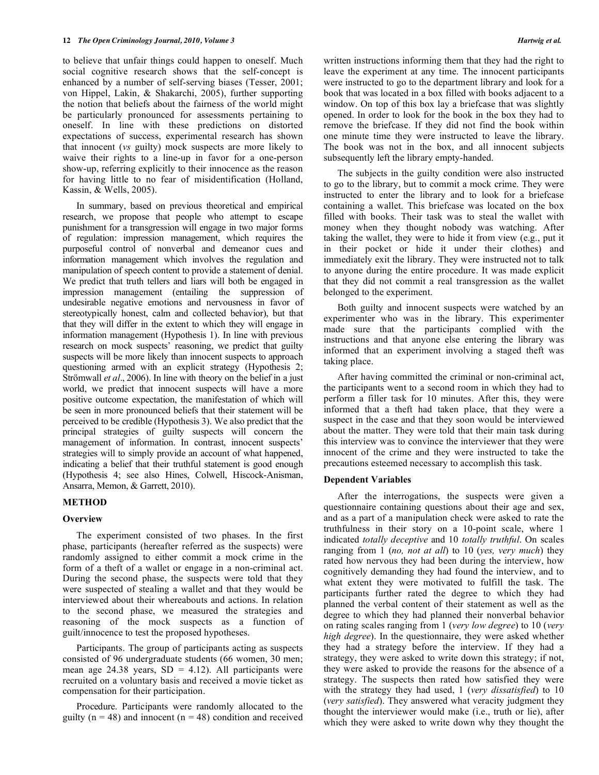to believe that unfair things could happen to oneself. Much social cognitive research shows that the self-concept is enhanced by a number of self-serving biases (Tesser, 2001; von Hippel, Lakin, & Shakarchi, 2005), further supporting the notion that beliefs about the fairness of the world might be particularly pronounced for assessments pertaining to oneself. In line with these predictions on distorted expectations of success, experimental research has shown that innocent (*vs* guilty) mock suspects are more likely to waive their rights to a line-up in favor for a one-person show-up, referring explicitly to their innocence as the reason for having little to no fear of misidentification (Holland, Kassin, & Wells, 2005).

 In summary, based on previous theoretical and empirical research, we propose that people who attempt to escape punishment for a transgression will engage in two major forms of regulation: impression management, which requires the purposeful control of nonverbal and demeanor cues and information management which involves the regulation and manipulation of speech content to provide a statement of denial. We predict that truth tellers and liars will both be engaged in impression management (entailing the suppression of undesirable negative emotions and nervousness in favor of stereotypically honest, calm and collected behavior), but that that they will differ in the extent to which they will engage in information management (Hypothesis 1). In line with previous research on mock suspects' reasoning, we predict that guilty suspects will be more likely than innocent suspects to approach questioning armed with an explicit strategy (Hypothesis 2; Strömwall *et al*., 2006). In line with theory on the belief in a just world, we predict that innocent suspects will have a more positive outcome expectation, the manifestation of which will be seen in more pronounced beliefs that their statement will be perceived to be credible (Hypothesis 3). We also predict that the principal strategies of guilty suspects will concern the management of information. In contrast, innocent suspects' strategies will to simply provide an account of what happened, indicating a belief that their truthful statement is good enough (Hypothesis 4; see also Hines, Colwell, Hiscock-Anisman, Ansarra, Memon, & Garrett, 2010).

# **METHOD**

# **Overview**

 The experiment consisted of two phases. In the first phase, participants (hereafter referred as the suspects) were randomly assigned to either commit a mock crime in the form of a theft of a wallet or engage in a non-criminal act. During the second phase, the suspects were told that they were suspected of stealing a wallet and that they would be interviewed about their whereabouts and actions. In relation to the second phase, we measured the strategies and reasoning of the mock suspects as a function of guilt/innocence to test the proposed hypotheses.

 Participants. The group of participants acting as suspects consisted of 96 undergraduate students (66 women, 30 men; mean age 24.38 years,  $SD = 4.12$ ). All participants were recruited on a voluntary basis and received a movie ticket as compensation for their participation.

 Procedure. Participants were randomly allocated to the guilty ( $n = 48$ ) and innocent ( $n = 48$ ) condition and received

written instructions informing them that they had the right to leave the experiment at any time. The innocent participants were instructed to go to the department library and look for a book that was located in a box filled with books adjacent to a window. On top of this box lay a briefcase that was slightly opened. In order to look for the book in the box they had to remove the briefcase. If they did not find the book within one minute time they were instructed to leave the library. The book was not in the box, and all innocent subjects subsequently left the library empty-handed.

 The subjects in the guilty condition were also instructed to go to the library, but to commit a mock crime. They were instructed to enter the library and to look for a briefcase containing a wallet. This briefcase was located on the box filled with books. Their task was to steal the wallet with money when they thought nobody was watching. After taking the wallet, they were to hide it from view (e.g., put it in their pocket or hide it under their clothes) and immediately exit the library. They were instructed not to talk to anyone during the entire procedure. It was made explicit that they did not commit a real transgression as the wallet belonged to the experiment.

 Both guilty and innocent suspects were watched by an experimenter who was in the library. This experimenter made sure that the participants complied with the instructions and that anyone else entering the library was informed that an experiment involving a staged theft was taking place.

 After having committed the criminal or non-criminal act, the participants went to a second room in which they had to perform a filler task for 10 minutes. After this, they were informed that a theft had taken place, that they were a suspect in the case and that they soon would be interviewed about the matter. They were told that their main task during this interview was to convince the interviewer that they were innocent of the crime and they were instructed to take the precautions esteemed necessary to accomplish this task.

# **Dependent Variables**

 After the interrogations, the suspects were given a questionnaire containing questions about their age and sex, and as a part of a manipulation check were asked to rate the truthfulness in their story on a 10-point scale, where 1 indicated *totally deceptive* and 10 *totally truthful*. On scales ranging from 1 (*no, not at all*) to 10 (*yes, very much*) they rated how nervous they had been during the interview, how cognitively demanding they had found the interview, and to what extent they were motivated to fulfill the task. The participants further rated the degree to which they had planned the verbal content of their statement as well as the degree to which they had planned their nonverbal behavior on rating scales ranging from 1 (*very low degree*) to 10 (*very high degree*). In the questionnaire, they were asked whether they had a strategy before the interview. If they had a strategy, they were asked to write down this strategy; if not, they were asked to provide the reasons for the absence of a strategy. The suspects then rated how satisfied they were with the strategy they had used, 1 (*very dissatisfied*) to 10 (*very satisfied*). They answered what veracity judgment they thought the interviewer would make (i.e., truth or lie), after which they were asked to write down why they thought the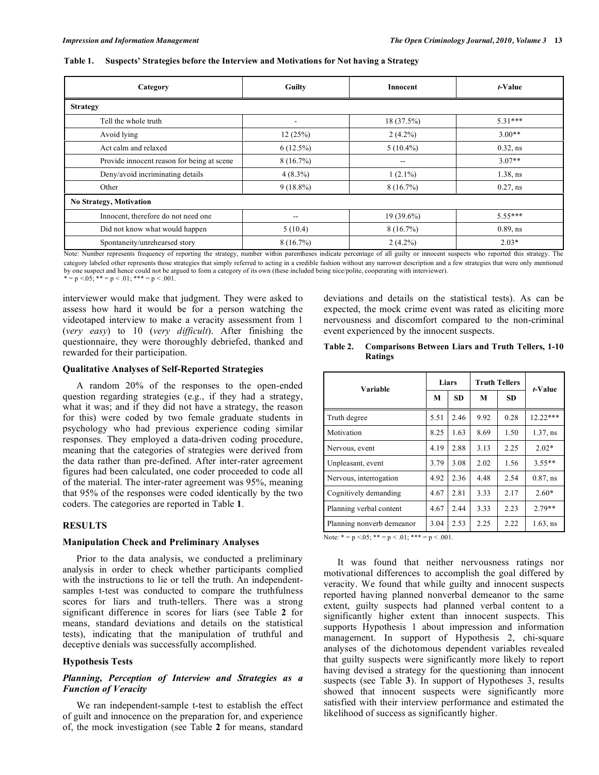#### **Table 1. Suspects' Strategies before the Interview and Motivations for Not having a Strategy**

| Category                                              | Guilty                           | Innocent                                       | t-Value           |  |  |  |  |  |
|-------------------------------------------------------|----------------------------------|------------------------------------------------|-------------------|--|--|--|--|--|
| <b>Strategy</b>                                       |                                  |                                                |                   |  |  |  |  |  |
| Tell the whole truth                                  |                                  | 18 (37.5%)                                     | $5.31***$         |  |  |  |  |  |
| Avoid lying                                           | 12(25%)                          | $2(4.2\%)$                                     | $3.00**$          |  |  |  |  |  |
| Act calm and relaxed                                  | $6(12.5\%)$                      | $5(10.4\%)$                                    | $0.32$ , ns       |  |  |  |  |  |
| Provide innocent reason for being at scene            | $8(16.7\%)$                      | $- -$                                          | $3.07**$          |  |  |  |  |  |
| Deny/avoid incriminating details                      | $4(8.3\%)$                       | $1(2.1\%)$                                     | $1.38$ , ns       |  |  |  |  |  |
| Other                                                 | $9(18.8\%)$                      | 8(16.7%)                                       | $0.27$ , ns       |  |  |  |  |  |
| No Strategy, Motivation                               |                                  |                                                |                   |  |  |  |  |  |
| Innocent, therefore do not need one                   | --                               | 19 (39.6%)                                     | $5.55***$         |  |  |  |  |  |
| Did not know what would happen                        | 5(10.4)                          | 8(16.7%)                                       | $0.89$ , ns       |  |  |  |  |  |
| Spontaneity/unrehearsed story<br>$\sim$ $\sim$ $\sim$ | 8(16.7%)<br>$\cdots$<br>$\cdots$ | $2(4.2\%)$<br>$\alpha$ and the set of $\alpha$ | $2.03*$<br>$\sim$ |  |  |  |  |  |

Note: Number represents frequency of reporting the strategy, number within parentheses indicate percentage of all guilty or innocent suspects who reported this strategy. The category labeled other represents those strategies that simply referred to acting in a credible fashion without any narrower description and a few strategies that were only mentioned by one suspect and hence could not be argued to form a category of its own (these included being nice/polite, cooperating with interviewer).<br>\* = p <.05; \*\* = p <.01; \*\*\* = p <.001.

interviewer would make that judgment. They were asked to assess how hard it would be for a person watching the videotaped interview to make a veracity assessment from 1 (*very easy*) to 10 (*very difficult*). After finishing the questionnaire, they were thoroughly debriefed, thanked and rewarded for their participation.

# **Qualitative Analyses of Self-Reported Strategies**

 A random 20% of the responses to the open-ended question regarding strategies (e.g., if they had a strategy, what it was; and if they did not have a strategy, the reason for this) were coded by two female graduate students in psychology who had previous experience coding similar responses. They employed a data-driven coding procedure, meaning that the categories of strategies were derived from the data rather than pre-defined. After inter-rater agreement figures had been calculated, one coder proceeded to code all of the material. The inter-rater agreement was 95%, meaning that 95% of the responses were coded identically by the two coders. The categories are reported in Table **1**.

## **RESULTS**

#### **Manipulation Check and Preliminary Analyses**

 Prior to the data analysis, we conducted a preliminary analysis in order to check whether participants complied with the instructions to lie or tell the truth. An independentsamples t-test was conducted to compare the truthfulness scores for liars and truth-tellers. There was a strong significant difference in scores for liars (see Table **2** for means, standard deviations and details on the statistical tests), indicating that the manipulation of truthful and deceptive denials was successfully accomplished.

# **Hypothesis Tests**

# *Planning, Perception of Interview and Strategies as a Function of Veracity*

 We ran independent-sample t-test to establish the effect of guilt and innocence on the preparation for, and experience of, the mock investigation (see Table **2** for means, standard

deviations and details on the statistical tests). As can be expected, the mock crime event was rated as eliciting more nervousness and discomfort compared to the non-criminal event experienced by the innocent suspects.

# **Table 2. Comparisons Between Liars and Truth Tellers, 1-10 Ratings**

| Variable                  | Liars |           | <b>Truth Tellers</b> |           | <i>t</i> -Value |  |
|---------------------------|-------|-----------|----------------------|-----------|-----------------|--|
|                           | М     | <b>SD</b> | M                    | <b>SD</b> |                 |  |
| Truth degree              | 5.51  | 2.46      | 9.92                 | 0.28      | $12.22***$      |  |
| Motivation                | 8.25  | 1.63      | 8.69                 | 1.50      | $1.37$ , ns     |  |
| Nervous, event            | 4.19  | 2.88      | 3.13                 | 2.25      | $2.02*$         |  |
| Unpleasant, event         | 3.79  | 3.08      | 2.02                 | 1.56      | $3.55**$        |  |
| Nervous, interrogation    | 4.92  | 2.36      | 4.48                 | 2.54      | $0.87$ , ns     |  |
| Cognitively demanding     | 4.67  | 2.81      | 3.33                 | 2.17      | $2.60*$         |  |
| Planning verbal content   | 4.67  | 2.44      | 3.33                 | 2.23      | $2.79**$        |  |
| Planning nonverb demeanor | 3.04  | 2.53      | 2.25                 | 2.22      | $1.63$ , ns     |  |

Note:  $* = p \le 0.05$ ;  $** = p \le 0.01$ ;  $*** = p \le 0.001$ .

 It was found that neither nervousness ratings nor motivational differences to accomplish the goal differed by veracity. We found that while guilty and innocent suspects reported having planned nonverbal demeanor to the same extent, guilty suspects had planned verbal content to a significantly higher extent than innocent suspects. This supports Hypothesis 1 about impression and information management. In support of Hypothesis 2, chi-square analyses of the dichotomous dependent variables revealed that guilty suspects were significantly more likely to report having devised a strategy for the questioning than innocent suspects (see Table **3**). In support of Hypotheses 3, results showed that innocent suspects were significantly more satisfied with their interview performance and estimated the likelihood of success as significantly higher.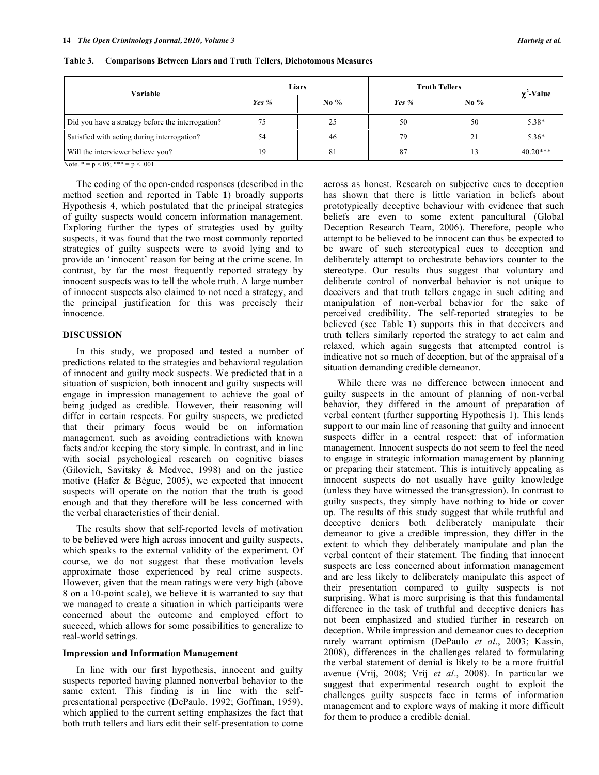| Variable                                          | Liars   |        | <b>Truth Tellers</b> |        | $\chi^2$ -Value |
|---------------------------------------------------|---------|--------|----------------------|--------|-----------------|
|                                                   | Yes $%$ | No $%$ | Yes $%$              | No $%$ |                 |
| Did you have a strategy before the interrogation? |         | 25     | 50                   | 50     | 5.38*           |
| Satisfied with acting during interrogation?       | 54      | 46     | 79                   |        | $5.36*$         |
| Will the interviewer believe you?                 | 19      | 81     | 87                   |        | $40.20***$      |

**Table 3. Comparisons Between Liars and Truth Tellers, Dichotomous Measures** 

Note.  $* = p < 0.05$ ;  $*** = p < 0.01$ .

 The coding of the open-ended responses (described in the method section and reported in Table **1**) broadly supports Hypothesis 4, which postulated that the principal strategies of guilty suspects would concern information management. Exploring further the types of strategies used by guilty suspects, it was found that the two most commonly reported strategies of guilty suspects were to avoid lying and to provide an 'innocent' reason for being at the crime scene. In contrast, by far the most frequently reported strategy by innocent suspects was to tell the whole truth. A large number of innocent suspects also claimed to not need a strategy, and the principal justification for this was precisely their innocence.

# **DISCUSSION**

 In this study, we proposed and tested a number of predictions related to the strategies and behavioral regulation of innocent and guilty mock suspects. We predicted that in a situation of suspicion, both innocent and guilty suspects will engage in impression management to achieve the goal of being judged as credible. However, their reasoning will differ in certain respects. For guilty suspects, we predicted that their primary focus would be on information management, such as avoiding contradictions with known facts and/or keeping the story simple. In contrast, and in line with social psychological research on cognitive biases (Gilovich, Savitsky & Medvec, 1998) and on the justice motive (Hafer & Bègue, 2005), we expected that innocent suspects will operate on the notion that the truth is good enough and that they therefore will be less concerned with the verbal characteristics of their denial.

 The results show that self-reported levels of motivation to be believed were high across innocent and guilty suspects, which speaks to the external validity of the experiment. Of course, we do not suggest that these motivation levels approximate those experienced by real crime suspects. However, given that the mean ratings were very high (above 8 on a 10-point scale), we believe it is warranted to say that we managed to create a situation in which participants were concerned about the outcome and employed effort to succeed, which allows for some possibilities to generalize to real-world settings.

#### **Impression and Information Management**

 In line with our first hypothesis, innocent and guilty suspects reported having planned nonverbal behavior to the same extent. This finding is in line with the selfpresentational perspective (DePaulo, 1992; Goffman, 1959), which applied to the current setting emphasizes the fact that both truth tellers and liars edit their self-presentation to come across as honest. Research on subjective cues to deception has shown that there is little variation in beliefs about prototypically deceptive behaviour with evidence that such beliefs are even to some extent pancultural (Global Deception Research Team, 2006). Therefore, people who attempt to be believed to be innocent can thus be expected to be aware of such stereotypical cues to deception and deliberately attempt to orchestrate behaviors counter to the stereotype. Our results thus suggest that voluntary and deliberate control of nonverbal behavior is not unique to deceivers and that truth tellers engage in such editing and manipulation of non-verbal behavior for the sake of perceived credibility. The self-reported strategies to be believed (see Table **1**) supports this in that deceivers and truth tellers similarly reported the strategy to act calm and relaxed, which again suggests that attempted control is indicative not so much of deception, but of the appraisal of a situation demanding credible demeanor.

 While there was no difference between innocent and guilty suspects in the amount of planning of non-verbal behavior, they differed in the amount of preparation of verbal content (further supporting Hypothesis 1). This lends support to our main line of reasoning that guilty and innocent suspects differ in a central respect: that of information management. Innocent suspects do not seem to feel the need to engage in strategic information management by planning or preparing their statement. This is intuitively appealing as innocent suspects do not usually have guilty knowledge (unless they have witnessed the transgression). In contrast to guilty suspects, they simply have nothing to hide or cover up. The results of this study suggest that while truthful and deceptive deniers both deliberately manipulate their demeanor to give a credible impression, they differ in the extent to which they deliberately manipulate and plan the verbal content of their statement. The finding that innocent suspects are less concerned about information management and are less likely to deliberately manipulate this aspect of their presentation compared to guilty suspects is not surprising. What is more surprising is that this fundamental difference in the task of truthful and deceptive deniers has not been emphasized and studied further in research on deception. While impression and demeanor cues to deception rarely warrant optimism (DePaulo *et al*., 2003; Kassin, 2008), differences in the challenges related to formulating the verbal statement of denial is likely to be a more fruitful avenue (Vrij, 2008; Vrij *et al*., 2008). In particular we suggest that experimental research ought to exploit the challenges guilty suspects face in terms of information management and to explore ways of making it more difficult for them to produce a credible denial.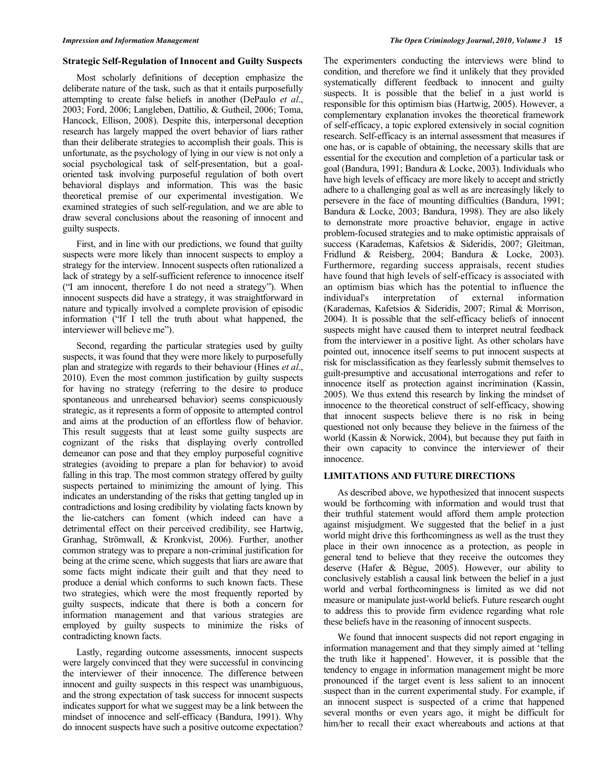#### **Strategic Self-Regulation of Innocent and Guilty Suspects**

 Most scholarly definitions of deception emphasize the deliberate nature of the task, such as that it entails purposefully attempting to create false beliefs in another (DePaulo *et al*., 2003; Ford, 2006; Langleben, Dattilio, & Gutheil, 2006; Toma, Hancock, Ellison, 2008). Despite this, interpersonal deception research has largely mapped the overt behavior of liars rather than their deliberate strategies to accomplish their goals. This is unfortunate, as the psychology of lying in our view is not only a social psychological task of self-presentation, but a goaloriented task involving purposeful regulation of both overt behavioral displays and information. This was the basic theoretical premise of our experimental investigation. We examined strategies of such self-regulation, and we are able to draw several conclusions about the reasoning of innocent and guilty suspects.

 First, and in line with our predictions, we found that guilty suspects were more likely than innocent suspects to employ a strategy for the interview. Innocent suspects often rationalized a lack of strategy by a self-sufficient reference to innocence itself ("I am innocent, therefore I do not need a strategy"). When innocent suspects did have a strategy, it was straightforward in nature and typically involved a complete provision of episodic information ("If I tell the truth about what happened, the interviewer will believe me").

 Second, regarding the particular strategies used by guilty suspects, it was found that they were more likely to purposefully plan and strategize with regards to their behaviour (Hines *et al*., 2010). Even the most common justification by guilty suspects for having no strategy (referring to the desire to produce spontaneous and unrehearsed behavior) seems conspicuously strategic, as it represents a form of opposite to attempted control and aims at the production of an effortless flow of behavior. This result suggests that at least some guilty suspects are cognizant of the risks that displaying overly controlled demeanor can pose and that they employ purposeful cognitive strategies (avoiding to prepare a plan for behavior) to avoid falling in this trap. The most common strategy offered by guilty suspects pertained to minimizing the amount of lying. This indicates an understanding of the risks that getting tangled up in contradictions and losing credibility by violating facts known by the lie-catchers can foment (which indeed can have a detrimental effect on their perceived credibility, see Hartwig, Granhag, Strömwall, & Kronkvist, 2006). Further, another common strategy was to prepare a non-criminal justification for being at the crime scene, which suggests that liars are aware that some facts might indicate their guilt and that they need to produce a denial which conforms to such known facts. These two strategies, which were the most frequently reported by guilty suspects, indicate that there is both a concern for information management and that various strategies are employed by guilty suspects to minimize the risks of contradicting known facts.

 Lastly, regarding outcome assessments, innocent suspects were largely convinced that they were successful in convincing the interviewer of their innocence. The difference between innocent and guilty suspects in this respect was unambiguous, and the strong expectation of task success for innocent suspects indicates support for what we suggest may be a link between the mindset of innocence and self-efficacy (Bandura, 1991). Why do innocent suspects have such a positive outcome expectation?

The experimenters conducting the interviews were blind to condition, and therefore we find it unlikely that they provided systematically different feedback to innocent and guilty suspects. It is possible that the belief in a just world is responsible for this optimism bias (Hartwig, 2005). However, a complementary explanation invokes the theoretical framework of self-efficacy, a topic explored extensively in social cognition research. Self-efficacy is an internal assessment that measures if one has, or is capable of obtaining, the necessary skills that are essential for the execution and completion of a particular task or goal (Bandura, 1991; Bandura & Locke, 2003). Individuals who have high levels of efficacy are more likely to accept and strictly adhere to a challenging goal as well as are increasingly likely to persevere in the face of mounting difficulties (Bandura, 1991; Bandura & Locke, 2003; Bandura, 1998). They are also likely to demonstrate more proactive behavior, engage in active problem-focused strategies and to make optimistic appraisals of success (Karademas, Kafetsios & Sideridis, 2007; Gleitman, Fridlund & Reisberg, 2004; Bandura & Locke, 2003). Furthermore, regarding success appraisals, recent studies have found that high levels of self-efficacy is associated with an optimism bias which has the potential to influence the individual's interpretation of external information (Karademas, Kafetsios & Sideridis, 2007; Rimal & Morrison, 2004). It is possible that the self-efficacy beliefs of innocent suspects might have caused them to interpret neutral feedback from the interviewer in a positive light. As other scholars have pointed out, innocence itself seems to put innocent suspects at risk for misclassification as they fearlessly submit themselves to guilt-presumptive and accusational interrogations and refer to innocence itself as protection against incrimination (Kassin, 2005). We thus extend this research by linking the mindset of innocence to the theoretical construct of self-efficacy, showing that innocent suspects believe there is no risk in being questioned not only because they believe in the fairness of the world (Kassin & Norwick, 2004), but because they put faith in their own capacity to convince the interviewer of their innocence.

# **LIMITATIONS AND FUTURE DIRECTIONS**

 As described above, we hypothesized that innocent suspects would be forthcoming with information and would trust that their truthful statement would afford them ample protection against misjudgment. We suggested that the belief in a just world might drive this forthcomingness as well as the trust they place in their own innocence as a protection, as people in general tend to believe that they receive the outcomes they deserve (Hafer & Bègue, 2005). However, our ability to conclusively establish a causal link between the belief in a just world and verbal forthcomingness is limited as we did not measure or manipulate just-world beliefs. Future research ought to address this to provide firm evidence regarding what role these beliefs have in the reasoning of innocent suspects.

 We found that innocent suspects did not report engaging in information management and that they simply aimed at 'telling the truth like it happened'. However, it is possible that the tendency to engage in information management might be more pronounced if the target event is less salient to an innocent suspect than in the current experimental study. For example, if an innocent suspect is suspected of a crime that happened several months or even years ago, it might be difficult for him/her to recall their exact whereabouts and actions at that